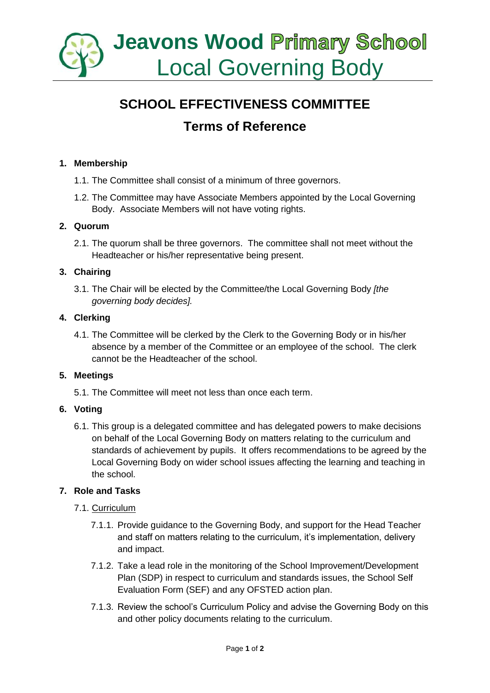

# **SCHOOL EFFECTIVENESS COMMITTEE Terms of Reference**

### **1. Membership**

- 1.1. The Committee shall consist of a minimum of three governors.
- 1.2. The Committee may have Associate Members appointed by the Local Governing Body. Associate Members will not have voting rights.

#### **2. Quorum**

2.1. The quorum shall be three governors. The committee shall not meet without the Headteacher or his/her representative being present.

#### **3. Chairing**

3.1. The Chair will be elected by the Committee/the Local Governing Body *[the governing body decides].*

#### **4. Clerking**

4.1. The Committee will be clerked by the Clerk to the Governing Body or in his/her absence by a member of the Committee or an employee of the school. The clerk cannot be the Headteacher of the school.

#### **5. Meetings**

5.1. The Committee will meet not less than once each term.

#### **6. Voting**

6.1. This group is a delegated committee and has delegated powers to make decisions on behalf of the Local Governing Body on matters relating to the curriculum and standards of achievement by pupils. It offers recommendations to be agreed by the Local Governing Body on wider school issues affecting the learning and teaching in the school.

#### **7. Role and Tasks**

#### 7.1. Curriculum

- 7.1.1. Provide guidance to the Governing Body, and support for the Head Teacher and staff on matters relating to the curriculum, it's implementation, delivery and impact.
- 7.1.2. Take a lead role in the monitoring of the School Improvement/Development Plan (SDP) in respect to curriculum and standards issues, the School Self Evaluation Form (SEF) and any OFSTED action plan.
- 7.1.3. Review the school's Curriculum Policy and advise the Governing Body on this and other policy documents relating to the curriculum.